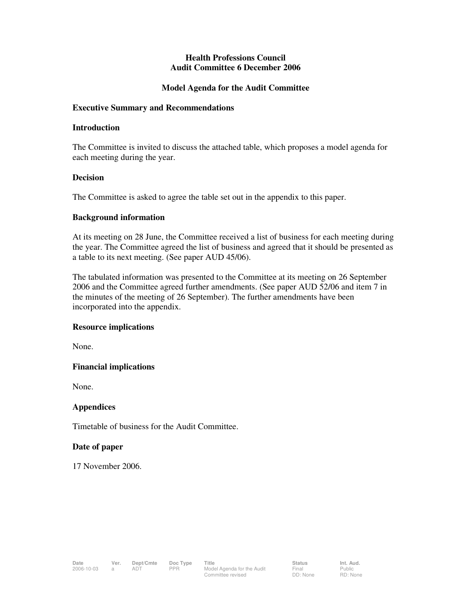## **Health Professions Council Audit Committee 6 December 2006**

## **Model Agenda for the Audit Committee**

### **Executive Summary and Recommendations**

### **Introduction**

The Committee is invited to discuss the attached table, which proposes a model agenda for each meeting during the year.

### **Decision**

The Committee is asked to agree the table set out in the appendix to this paper.

### **Background information**

At its meeting on 28 June, the Committee received a list of business for each meeting during the year. The Committee agreed the list of business and agreed that it should be presented as a table to its next meeting. (See paper AUD 45/06).

The tabulated information was presented to the Committee at its meeting on 26 September 2006 and the Committee agreed further amendments. (See paper AUD 52/06 and item 7 in the minutes of the meeting of 26 September). The further amendments have been incorporated into the appendix.

## **Resource implications**

None.

## **Financial implications**

None.

## **Appendices**

Timetable of business for the Audit Committee.

#### **Date of paper**

17 November 2006.

Public RD: None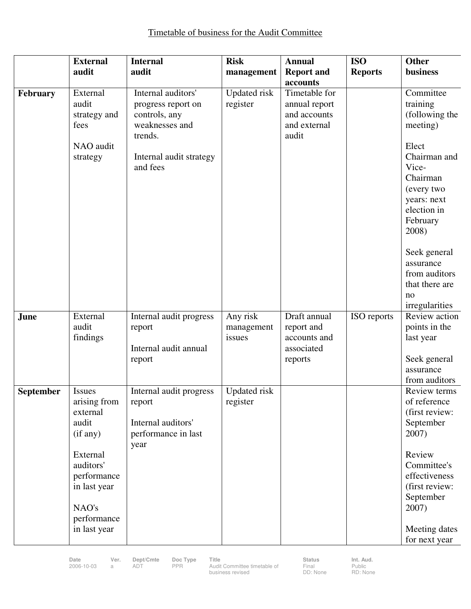|           | <b>External</b>                                                                                                                                                | <b>Internal</b>                                                                                                               | <b>Risk</b>                      | <b>Annual</b>                                                           | <b>ISO</b>     | <b>Other</b>                                                                                                                                                                                                                             |
|-----------|----------------------------------------------------------------------------------------------------------------------------------------------------------------|-------------------------------------------------------------------------------------------------------------------------------|----------------------------------|-------------------------------------------------------------------------|----------------|------------------------------------------------------------------------------------------------------------------------------------------------------------------------------------------------------------------------------------------|
|           | audit                                                                                                                                                          | audit                                                                                                                         | management                       | <b>Report and</b><br>accounts                                           | <b>Reports</b> | business                                                                                                                                                                                                                                 |
| February  | External<br>audit<br>strategy and<br>fees<br>NAO audit<br>strategy                                                                                             | Internal auditors'<br>progress report on<br>controls, any<br>weaknesses and<br>trends.<br>Internal audit strategy<br>and fees | <b>Updated</b> risk<br>register  | Timetable for<br>annual report<br>and accounts<br>and external<br>audit |                | Committee<br>training<br>(following the<br>meeting)<br>Elect<br>Chairman and<br>Vice-<br>Chairman<br>(every two<br>years: next<br>election in<br>February<br>2008)<br>Seek general<br>assurance<br>from auditors<br>that there are<br>no |
| June      | External<br>audit<br>findings                                                                                                                                  | Internal audit progress<br>report<br>Internal audit annual<br>report                                                          | Any risk<br>management<br>issues | Draft annual<br>report and<br>accounts and<br>associated<br>reports     | ISO reports    | irregularities<br>Review action<br>points in the<br>last year<br>Seek general<br>assurance<br>from auditors                                                                                                                              |
| September | <b>Issues</b><br>arising from<br>external<br>audit<br>(if any)<br>External<br>auditors'<br>performance<br>in last year<br>NAO's<br>performance<br>in last year | Internal audit progress<br>report<br>Internal auditors'<br>performance in last<br>year                                        | <b>Updated</b> risk<br>register  |                                                                         |                | Review terms<br>of reference<br>(first review:<br>September<br>2007)<br>Review<br>Committee's<br>effectiveness<br>(first review:<br>September<br>2007)<br>Meeting dates<br>for next year                                                 |

**Date Ver. Dept/Cmte Doc Type Title and the Status Int. Aud.**<br>2006-10-03 a ADT PPR Audit Committee timetable of Final Public business revised

Final DD: None Public RD: None